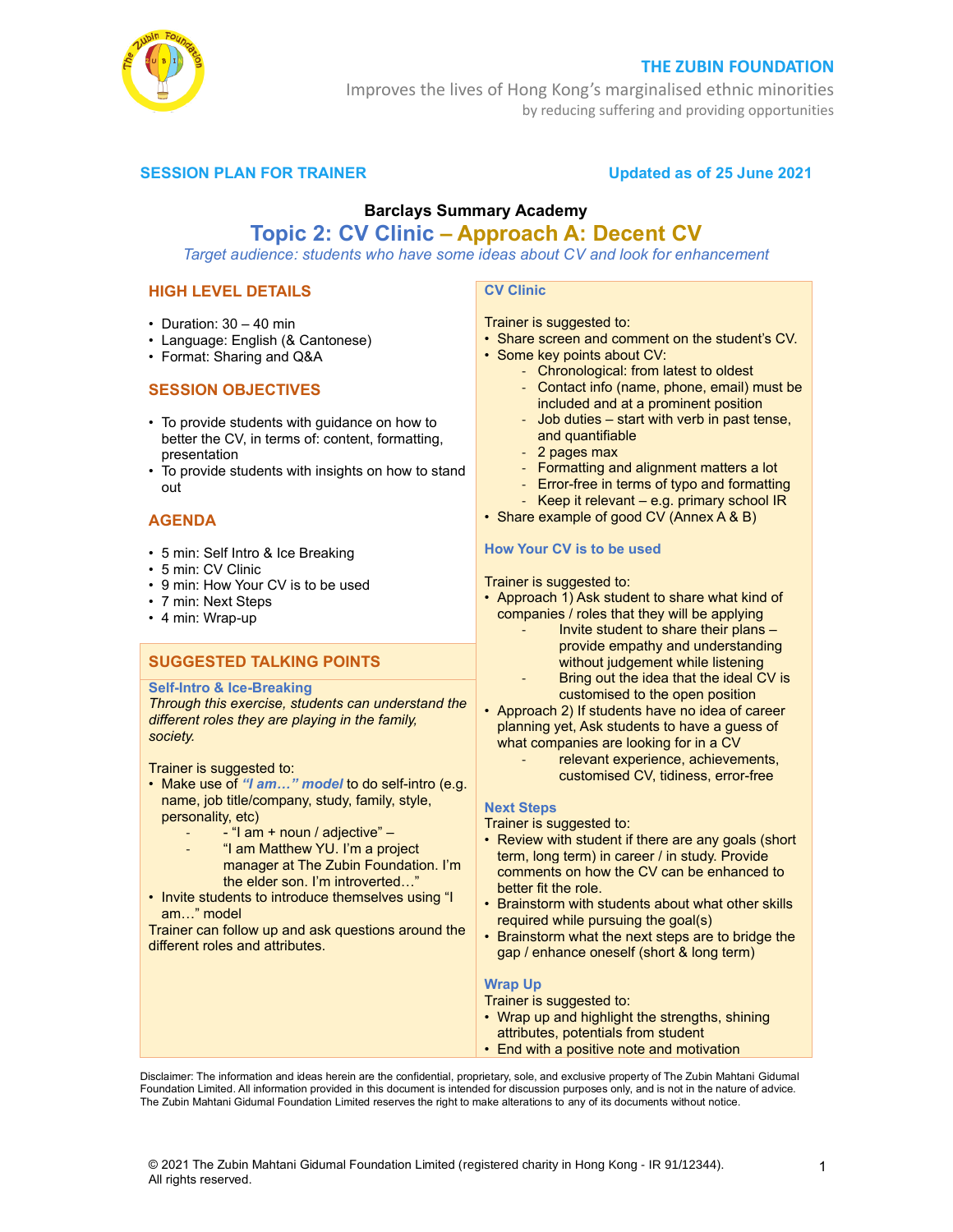

## **THE ZUBIN FOUNDATION**

Improves the lives of Hong Kong's marginalised ethnic minorities by reducing suffering and providing opportunities

# **SESSION PLAN FOR TRAINER CONSUMING THE Updated as of 25 June 2021**

# **Barclays Summary Academy Topic 2: CV Clinic – Approach A: Decent CV**

*Target audience: students who have some ideas about CV and look for enhancement* 

# **HIGH LEVEL DETAILS**

- Duration:  $30 40$  min
- Language: English (& Cantonese)
- Format: Sharing and Q&A

## **SESSION OBJECTIVES**

- To provide students with guidance on how to better the CV, in terms of: content, formatting, presentation
- To provide students with insights on how to stand out

## **AGENDA**

- 5 min: Self Intro & Ice Breaking
- 5 min: CV Clinic
- 9 min: How Your CV is to be used
- 7 min: Next Steps
- 4 min: Wrap-up

# **SUGGESTED TALKING POINTS**

#### **Self-Intro & Ice-Breaking**

*Through this exercise, students can understand the different roles they are playing in the family, society.*

Trainer is suggested to:

- Make use of *"I am…" model* to do self-intro (e.g. name, job title/company, study, family, style, personality, etc)
	- $-$  "I am  $+$  noun / adjective"  $-$
	- "I am Matthew YU. I'm a project manager at The Zubin Foundation. I'm the elder son. I'm introverted…"
- Invite students to introduce themselves using "I am…" model

Trainer can follow up and ask questions around the different roles and attributes.

# **CV Clinic**

# Trainer is suggested to:

• Share screen and comment on the student's CV.

• Some key points about CV:

- Chronological: from latest to oldest
- Contact info (name, phone, email) must be included and at a prominent position
- Job duties start with verb in past tense, and quantifiable
- 2 pages max
- Formatting and alignment matters a lot
- Error-free in terms of typo and formatting
- Keep it relevant e.g. primary school IR
- Share example of good CV (Annex A & B)

#### **How Your CV is to be used**

Trainer is suggested to:

- Approach 1) Ask student to share what kind of companies / roles that they will be applying
	- Invite student to share their plans provide empathy and understanding without judgement while listening
	- Bring out the idea that the ideal CV is customised to the open position
- Approach 2) If students have no idea of career planning yet, Ask students to have a guess of what companies are looking for in a CV
	- relevant experience, achievements, customised CV, tidiness, error-free

#### **Next Steps**

Trainer is suggested to:

- Review with student if there are any goals (short term, long term) in career / in study. Provide comments on how the CV can be enhanced to better fit the role.
- Brainstorm with students about what other skills required while pursuing the goal(s)
- Brainstorm what the next steps are to bridge the gap / enhance oneself (short & long term)

#### **Wrap Up**

Trainer is suggested to:

- Wrap up and highlight the strengths, shining attributes, potentials from student
- End with a positive note and motivation

Disclaimer: The information and ideas herein are the confidential, proprietary, sole, and exclusive property of The Zubin Mahtani Gidumal Foundation Limited. All information provided in this document is intended for discussion purposes only, and is not in the nature of advice. The Zubin Mahtani Gidumal Foundation Limited reserves the right to make alterations to any of its documents without notice.